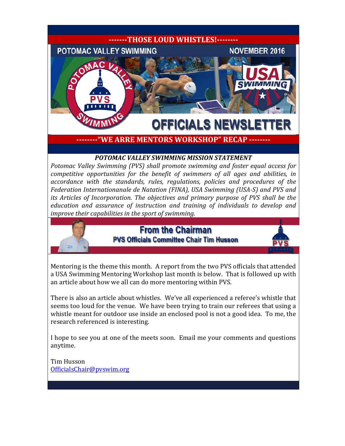

**--------"WE ARRE MENTORS WORKSHOP" RECAP --------**

#### *POTOMAC VALLEY SWIMMING MISSION STATEMENT*

*Potomac Valley Swimming (PVS) shall promote swimming and foster equal access for competitive opportunities for the benefit of swimmers of all ages and abilities, in accordance with the standards, rules, regulations, policies and procedures of the Federation Internationanale de Natation (FINA), USA Swimming (USA-S) and PVS and its Articles of Incorporation. The objectives and primary purpose of PVS shall be the education and assurance of instruction and training of individuals to develop and improve their capabilities in the sport of swimming.*

### **From the Chairman PVS Officials Committee Chair Tim Husson**



Mentoring is the theme this month. A report from the two PVS officials that attended a USA Swimming Mentoring Workshop last month is below. That is followed up with an article about how we all can do more mentoring within PVS.

There is also an article about whistles. We've all experienced a referee's whistle that seems too loud for the venue. We have been trying to train our referees that using a whistle meant for outdoor use inside an enclosed pool is not a good idea. To me, the research referenced is interesting.

I hope to see you at one of the meets soon. Email me your comments and questions anytime.

Tim Husson [OfficialsChair@pvswim.org](mailto:OfficialsChair@pvswim.org)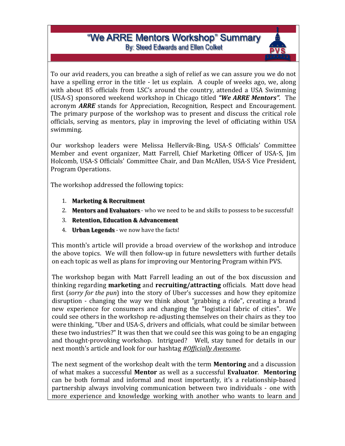### "We ARRE Mentors Workshop" Summary By: Steed Edwards and Ellen Colket

To our avid readers, you can breathe a sigh of relief as we can assure you we do not have a spelling error in the title - let us explain. A couple of weeks ago, we, along with about 85 officials from LSC's around the country, attended a USA Swimming (USA-S) sponsored weekend workshop in Chicago titled *"We ARRE Mentors"*. The acronym *ARRE* stands for Appreciation, Recognition, Respect and Encouragement. The primary purpose of the workshop was to present and discuss the critical role officials, serving as mentors, play in improving the level of officiating within USA swimming.

Our workshop leaders were Melissa Hellervik-Bing, USA-S Officials' Committee Member and event organizer, Matt Farrell, Chief Marketing Officer of USA-S, Jim Holcomb, USA-S Officials' Committee Chair, and Dan McAllen, USA-S Vice President, Program Operations.

The workshop addressed the following topics:

- 1. **Marketing & Recruitment**
- 2. **Mentors and Evaluators** who we need to be and skills to possess to be successful!
- 3. **Retention, Education & Advancement**
- 4. **Urban Legends** we now have the facts!

This month's article will provide a broad overview of the workshop and introduce the above topics. We will then follow-up in future newsletters with further details on each topic as well as plans for improving our Mentoring Program within PVS.

The workshop began with Matt Farrell leading an out of the box discussion and thinking regarding **marketing** and **recruiting/attracting** officials. Matt dove head first (*sorry for the pun*) into the story of Uber's successes and how they epitomize disruption - changing the way we think about "grabbing a ride", creating a brand new experience for consumers and changing the "logistical fabric of cities". We could see others in the workshop re-adjusting themselves on their chairs as they too were thinking, "Uber and USA-S, drivers and officials, what could be similar between these two industries?" It was then that we could see this was going to be an engaging and thought-provoking workshop. Intrigued? Well, stay tuned for details in our next month's article and look for our hashtag *#Officially Awesome*.

The next segment of the workshop dealt with the term **Mentoring** and a discussion of what makes a successful **Mentor** as well as a successful **Evaluator**. **Mentoring** can be both formal and informal and most importantly, it's a relationship-based partnership always involving communication between two individuals - one with more experience and knowledge working with another who wants to learn and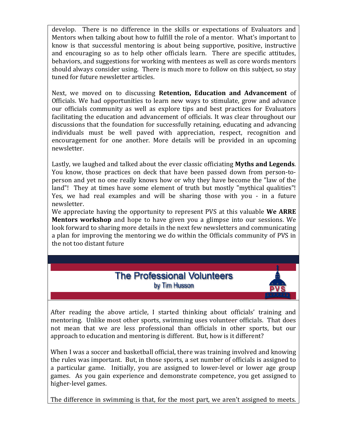develop. There is no difference in the skills or expectations of Evaluators and Mentors when talking about how to fulfill the role of a mentor. What's important to know is that successful mentoring is about being supportive, positive, instructive and encouraging so as to help other officials learn. There are specific attitudes, behaviors, and suggestions for working with mentees as well as core words mentors should always consider using. There is much more to follow on this subject, so stay tuned for future newsletter articles.

Next, we moved on to discussing **Retention, Education and Advancement** of Officials. We had opportunities to learn new ways to stimulate, grow and advance our officials community as well as explore tips and best practices for Evaluators facilitating the education and advancement of officials. It was clear throughout our discussions that the foundation for successfully retaining, educating and advancing individuals must be well paved with appreciation, respect, recognition and encouragement for one another. More details will be provided in an upcoming newsletter.

Lastly, we laughed and talked about the ever classic officiating **Myths and Legends**. You know, those practices on deck that have been passed down from person-toperson and yet no one really knows how or why they have become the "law of the land"! They at times have some element of truth but mostly "mythical qualities"! Yes, we had real examples and will be sharing those with you - in a future newsletter.

We appreciate having the opportunity to represent PVS at this valuable **We ARRE Mentors workshop** and hope to have given you a glimpse into our sessions. We look forward to sharing more details in the next few newsletters and communicating a plan for improving the mentoring we do within the Officials community of PVS in the not too distant future



After reading the above article, I started thinking about officials' training and mentoring. Unlike most other sports, swimming uses volunteer officials. That does not mean that we are less professional than officials in other sports, but our approach to education and mentoring is different. But, how is it different?

When I was a soccer and basketball official, there was training involved and knowing the rules was important. But, in those sports, a set number of officials is assigned to a particular game. Initially, you are assigned to lower-level or lower age group games. As you gain experience and demonstrate competence, you get assigned to higher-level games.

The difference in swimming is that, for the most part, we aren't assigned to meets.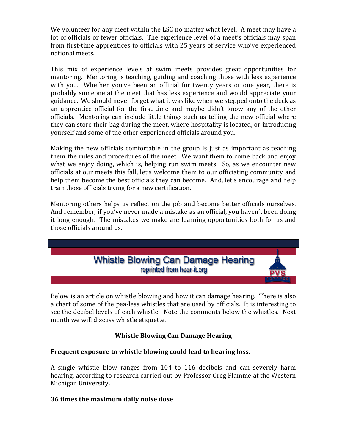We volunteer for any meet within the LSC no matter what level. A meet may have a lot of officials or fewer officials. The experience level of a meet's officials may span from first-time apprentices to officials with 25 years of service who've experienced national meets.

This mix of experience levels at swim meets provides great opportunities for mentoring. Mentoring is teaching, guiding and coaching those with less experience with you. Whether you've been an official for twenty years or one year, there is probably someone at the meet that has less experience and would appreciate your guidance. We should never forget what it was like when we stepped onto the deck as an apprentice official for the first time and maybe didn't know any of the other officials. Mentoring can include little things such as telling the new official where they can store their bag during the meet, where hospitality is located, or introducing yourself and some of the other experienced officials around you.

Making the new officials comfortable in the group is just as important as teaching them the rules and procedures of the meet. We want them to come back and enjoy what we enjoy doing, which is, helping run swim meets. So, as we encounter new officials at our meets this fall, let's welcome them to our officiating community and help them become the best officials they can become. And, let's encourage and help train those officials trying for a new certification.

Mentoring others helps us reflect on the job and become better officials ourselves. And remember, if you've never made a mistake as an official, you haven't been doing it long enough. The mistakes we make are learning opportunities both for us and those officials around us.

### **Whistle Blowing Can Damage Hearing** reprinted from hear-it org

Below is an article on whistle blowing and how it can damage hearing. There is also a chart of some of the pea-less whistles that are used by officials. It is interesting to see the decibel levels of each whistle. Note the comments below the whistles. Next month we will discuss whistle etiquette.

#### **Whistle Blowing Can Damage Hearing**

#### **Frequent exposure to whistle blowing could lead to hearing loss.**

A single whistle blow ranges from 104 to 116 decibels and can severely harm hearing, according to research carried out by Professor Greg Flamme at the Western Michigan University.

#### **36 times the maximum daily noise dose**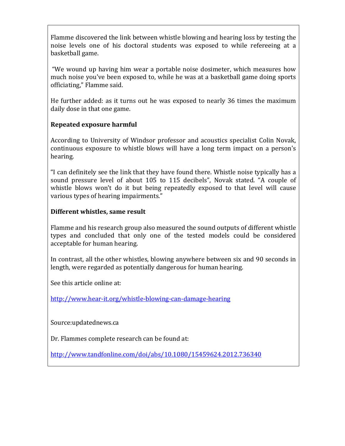Flamme discovered the link between whistle blowing and hearing loss by testing the noise levels one of his doctoral students was exposed to while refereeing at a basketball game.

"We wound up having him wear a portable noise dosimeter, which measures how much noise you've been exposed to, while he was at a basketball game doing sports officiating," Flamme said.

He further added: as it turns out he was exposed to nearly 36 times the maximum daily dose in that one game.

#### **Repeated exposure harmful**

According to University of Windsor professor and acoustics specialist Colin Novak, continuous exposure to whistle blows will have a long term impact on a person's hearing.

"I can definitely see the link that they have found there. Whistle noise typically has a sound pressure level of about 105 to 115 decibels", Novak stated. "A couple of whistle blows won't do it but being repeatedly exposed to that level will cause various types of hearing impairments."

#### **Different whistles, same result**

Flamme and his research group also measured the sound outputs of different whistle types and concluded that only one of the tested models could be considered acceptable for human hearing.

In contrast, all the other whistles, blowing anywhere between six and 90 seconds in length, were regarded as potentially dangerous for human hearing.

See this article online at:

<http://www.hear-it.org/whistle-blowing-can-damage-hearing>

Source:updatednews.ca

Dr. Flammes complete research can be found at:

<http://www.tandfonline.com/doi/abs/10.1080/15459624.2012.736340>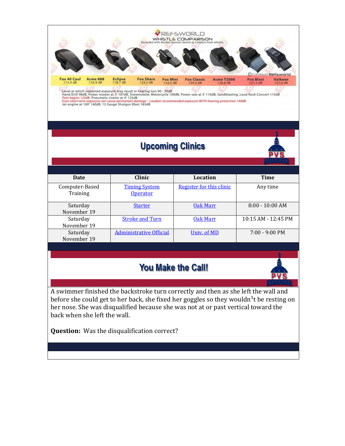

# **Upcoming Clinics**



| Date                       | <b>Clinic</b>                           | Location                 | <b>Time</b>              |
|----------------------------|-----------------------------------------|--------------------------|--------------------------|
| Computer-Based<br>Training | <b>Timing System</b><br><b>Operator</b> | Register for this clinic | Any time                 |
| Saturday<br>November 19    | <b>Starter</b>                          | <b>Oak Marr</b>          | $8:00 - 10:00$ AM        |
| Saturday<br>November 19    | <b>Stroke and Turn</b>                  | Oak Marr                 | 10:15 AM - 12:45 PM      |
| Saturday<br>November 19    | <b>Administrative Official</b>          | Univ. of MD              | $7:00 - 9:00 \text{ PM}$ |

### **You Make the Call!**



A swimmer finished the backstroke turn correctly and then as she left the wall and before she could get to her back, she fixed her goggles so they wouldn<sup>1</sup>t be resting on her nose. She was disqualified because she was not at or past vertical toward the back when she left the wall.

**Question:** Was the disqualification correct?